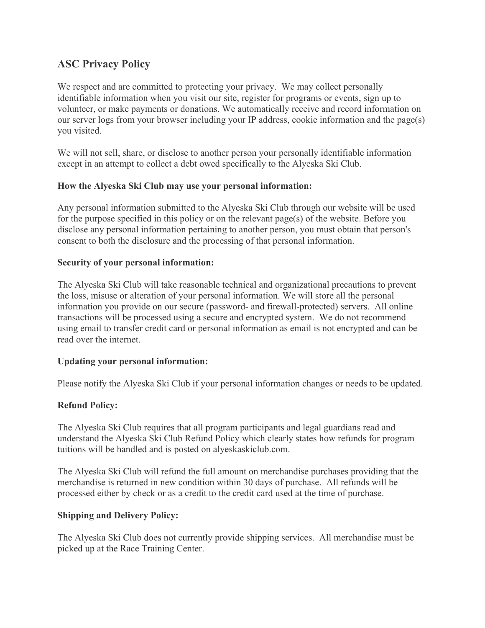# **ASC Privacy Policy**

We respect and are committed to protecting your privacy. We may collect personally identifiable information when you visit our site, register for programs or events, sign up to volunteer, or make payments or donations. We automatically receive and record information on our server logs from your browser including your IP address, cookie information and the page(s) you visited.

We will not sell, share, or disclose to another person your personally identifiable information except in an attempt to collect a debt owed specifically to the Alyeska Ski Club.

## **How the Alyeska Ski Club may use your personal information:**

Any personal information submitted to the Alyeska Ski Club through our website will be used for the purpose specified in this policy or on the relevant page(s) of the website. Before you disclose any personal information pertaining to another person, you must obtain that person's consent to both the disclosure and the processing of that personal information.

#### **Security of your personal information:**

The Alyeska Ski Club will take reasonable technical and organizational precautions to prevent the loss, misuse or alteration of your personal information. We will store all the personal information you provide on our secure (password- and firewall-protected) servers. All online transactions will be processed using a secure and encrypted system. We do not recommend using email to transfer credit card or personal information as email is not encrypted and can be read over the internet.

## **Updating your personal information:**

Please notify the Alyeska Ski Club if your personal information changes or needs to be updated.

## **Refund Policy:**

The Alyeska Ski Club requires that all program participants and legal guardians read and understand the Alyeska Ski Club Refund Policy which clearly states how refunds for program tuitions will be handled and is posted on alyeskaskiclub.com.

The Alyeska Ski Club will refund the full amount on merchandise purchases providing that the merchandise is returned in new condition within 30 days of purchase. All refunds will be processed either by check or as a credit to the credit card used at the time of purchase.

## **Shipping and Delivery Policy:**

The Alyeska Ski Club does not currently provide shipping services. All merchandise must be picked up at the Race Training Center.